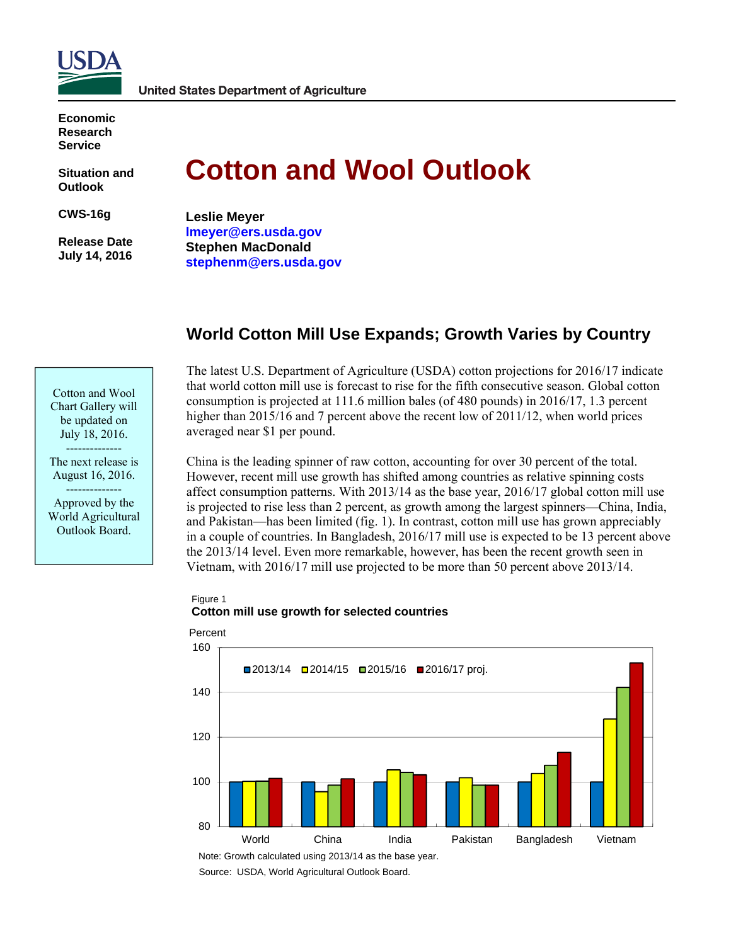

**Economic Research Service** 

**Situation and Outlook** 

**CWS-16g** 

 **Release Date July 14, 2016** 

# **Cotton and Wool Outlook**

**Leslie Meyer lmeyer@ers.usda.gov Stephen MacDonald stephenm@ers.usda.gov** 

# **World Cotton Mill Use Expands; Growth Varies by Country**

The latest U.S. Department of Agriculture (USDA) cotton projections for 2016/17 indicate that world cotton mill use is forecast to rise for the fifth consecutive season. Global cotton consumption is projected at 111.6 million bales (of 480 pounds) in 2016/17, 1.3 percent higher than 2015/16 and 7 percent above the recent low of 2011/12, when world prices averaged near \$1 per pound.

China is the leading spinner of raw cotton, accounting for over 30 percent of the total. However, recent mill use growth has shifted among countries as relative spinning costs affect consumption patterns. With 2013/14 as the base year, 2016/17 global cotton mill use is projected to rise less than 2 percent, as growth among the largest spinners—China, India, and Pakistan—has been limited (fig. 1). In contrast, cotton mill use has grown appreciably in a couple of countries. In Bangladesh, 2016/17 mill use is expected to be 13 percent above the 2013/14 level. Even more remarkable, however, has been the recent growth seen in Vietnam, with 2016/17 mill use projected to be more than 50 percent above 2013/14.

## Figure 1 **Cotton mill use growth for selected countries**



Note: Growth calculated using 2013/14 as the base year.

Cotton and Wool Chart Gallery will be updated on July 18, 2016. --------------

The next release is August 16, 2016.

-------------- Approved by the World Agricultural Outlook Board.

Source: USDA, World Agricultural Outlook Board.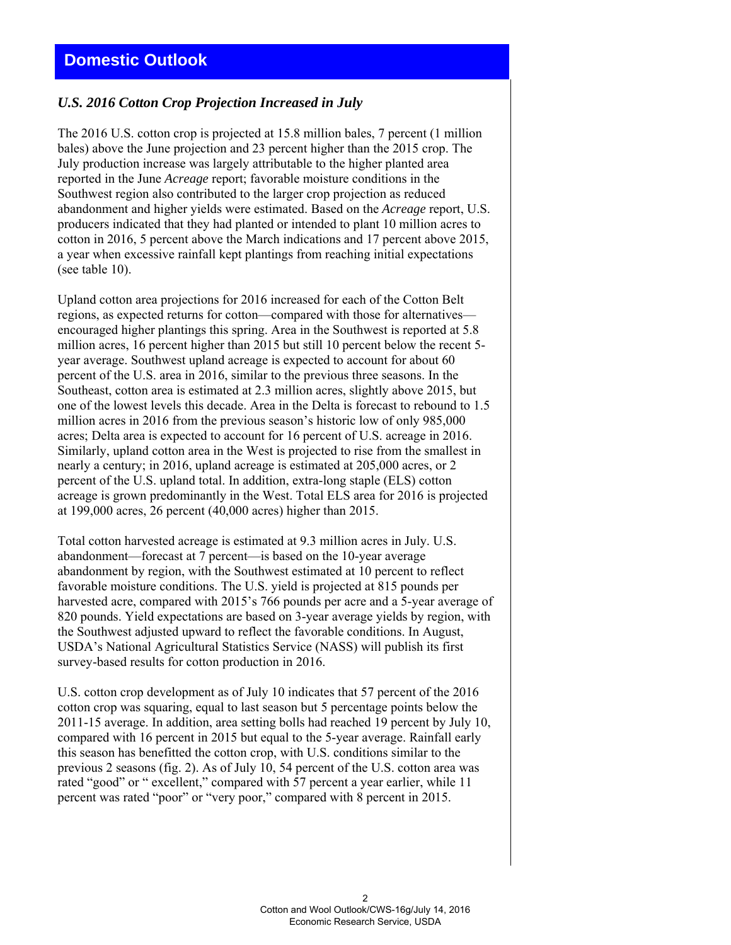## *U.S. 2016 Cotton Crop Projection Increased in July*

The 2016 U.S. cotton crop is projected at 15.8 million bales, 7 percent (1 million bales) above the June projection and 23 percent higher than the 2015 crop. The July production increase was largely attributable to the higher planted area reported in the June *Acreage* report; favorable moisture conditions in the Southwest region also contributed to the larger crop projection as reduced abandonment and higher yields were estimated. Based on the *Acreage* report, U.S. producers indicated that they had planted or intended to plant 10 million acres to cotton in 2016, 5 percent above the March indications and 17 percent above 2015, a year when excessive rainfall kept plantings from reaching initial expectations (see table 10).

Upland cotton area projections for 2016 increased for each of the Cotton Belt regions, as expected returns for cotton—compared with those for alternatives encouraged higher plantings this spring. Area in the Southwest is reported at 5.8 million acres, 16 percent higher than 2015 but still 10 percent below the recent 5 year average. Southwest upland acreage is expected to account for about 60 percent of the U.S. area in 2016, similar to the previous three seasons. In the Southeast, cotton area is estimated at 2.3 million acres, slightly above 2015, but one of the lowest levels this decade. Area in the Delta is forecast to rebound to 1.5 million acres in 2016 from the previous season's historic low of only 985,000 acres; Delta area is expected to account for 16 percent of U.S. acreage in 2016. Similarly, upland cotton area in the West is projected to rise from the smallest in nearly a century; in 2016, upland acreage is estimated at 205,000 acres, or 2 percent of the U.S. upland total. In addition, extra-long staple (ELS) cotton acreage is grown predominantly in the West. Total ELS area for 2016 is projected at 199,000 acres, 26 percent (40,000 acres) higher than 2015.

Total cotton harvested acreage is estimated at 9.3 million acres in July. U.S. abandonment—forecast at 7 percent—is based on the 10-year average abandonment by region, with the Southwest estimated at 10 percent to reflect favorable moisture conditions. The U.S. yield is projected at 815 pounds per harvested acre, compared with 2015's 766 pounds per acre and a 5-year average of 820 pounds. Yield expectations are based on 3-year average yields by region, with the Southwest adjusted upward to reflect the favorable conditions. In August, USDA's National Agricultural Statistics Service (NASS) will publish its first survey-based results for cotton production in 2016.

U.S. cotton crop development as of July 10 indicates that 57 percent of the 2016 cotton crop was squaring, equal to last season but 5 percentage points below the 2011-15 average. In addition, area setting bolls had reached 19 percent by July 10, compared with 16 percent in 2015 but equal to the 5-year average. Rainfall early this season has benefitted the cotton crop, with U.S. conditions similar to the previous 2 seasons (fig. 2). As of July 10, 54 percent of the U.S. cotton area was rated "good" or " excellent," compared with 57 percent a year earlier, while 11 percent was rated "poor" or "very poor," compared with 8 percent in 2015.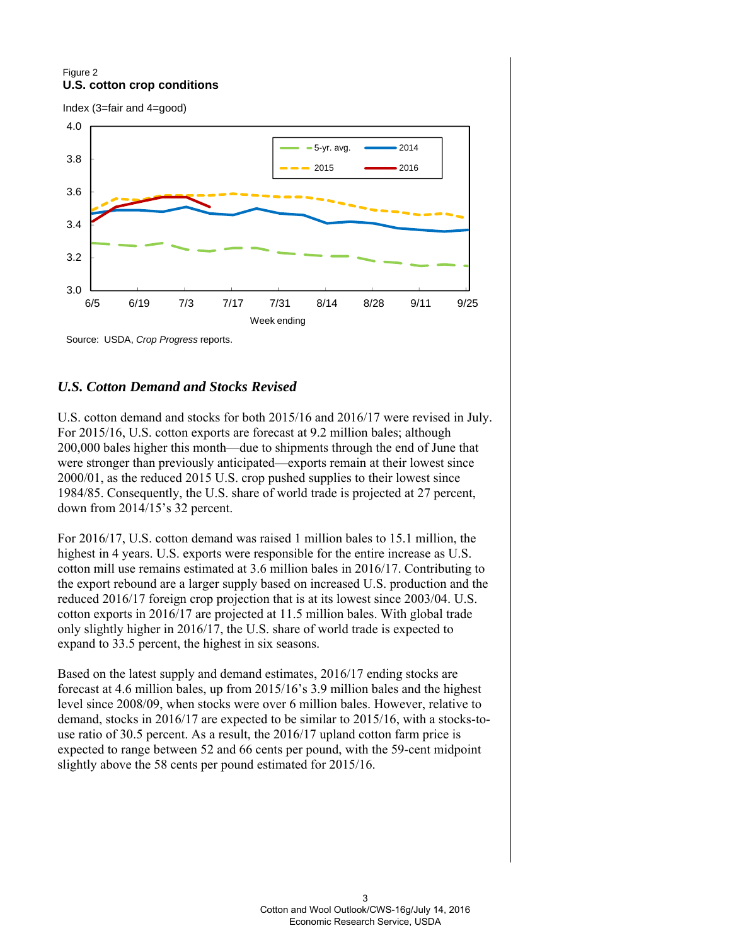#### Figure 2 **U.S. cotton crop conditions**

Index (3=fair and 4=good)



Source: USDA, *Crop Progress* reports.

## *U.S. Cotton Demand and Stocks Revised*

U.S. cotton demand and stocks for both 2015/16 and 2016/17 were revised in July. For 2015/16, U.S. cotton exports are forecast at 9.2 million bales; although 200,000 bales higher this month—due to shipments through the end of June that were stronger than previously anticipated—exports remain at their lowest since 2000/01, as the reduced 2015 U.S. crop pushed supplies to their lowest since 1984/85. Consequently, the U.S. share of world trade is projected at 27 percent, down from 2014/15's 32 percent.

For 2016/17, U.S. cotton demand was raised 1 million bales to 15.1 million, the highest in 4 years. U.S. exports were responsible for the entire increase as U.S. cotton mill use remains estimated at 3.6 million bales in 2016/17. Contributing to the export rebound are a larger supply based on increased U.S. production and the reduced 2016/17 foreign crop projection that is at its lowest since 2003/04. U.S. cotton exports in 2016/17 are projected at 11.5 million bales. With global trade only slightly higher in 2016/17, the U.S. share of world trade is expected to expand to 33.5 percent, the highest in six seasons.

Based on the latest supply and demand estimates, 2016/17 ending stocks are forecast at 4.6 million bales, up from 2015/16's 3.9 million bales and the highest level since 2008/09, when stocks were over 6 million bales. However, relative to demand, stocks in 2016/17 are expected to be similar to 2015/16, with a stocks-touse ratio of 30.5 percent. As a result, the 2016/17 upland cotton farm price is expected to range between 52 and 66 cents per pound, with the 59-cent midpoint slightly above the 58 cents per pound estimated for 2015/16.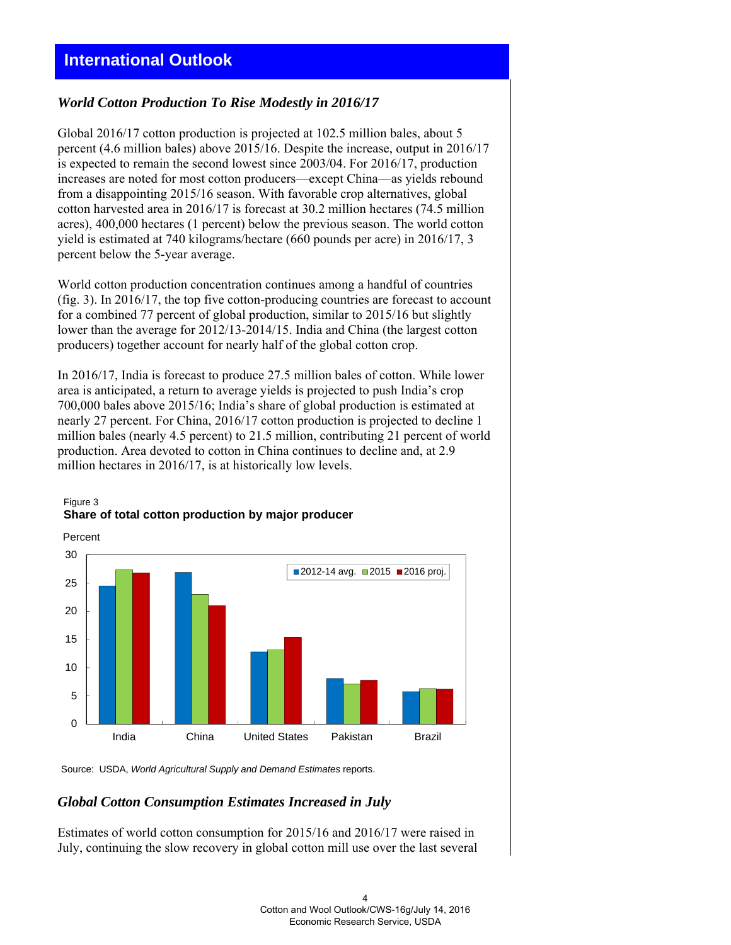# **International Outlook**

## *World Cotton Production To Rise Modestly in 2016/17*

Global 2016/17 cotton production is projected at 102.5 million bales, about 5 percent (4.6 million bales) above 2015/16. Despite the increase, output in 2016/17 is expected to remain the second lowest since 2003/04. For 2016/17, production increases are noted for most cotton producers—except China—as yields rebound from a disappointing 2015/16 season. With favorable crop alternatives, global cotton harvested area in 2016/17 is forecast at 30.2 million hectares (74.5 million acres), 400,000 hectares (1 percent) below the previous season. The world cotton yield is estimated at 740 kilograms/hectare (660 pounds per acre) in 2016/17, 3 percent below the 5-year average.

World cotton production concentration continues among a handful of countries (fig. 3). In 2016/17, the top five cotton-producing countries are forecast to account for a combined 77 percent of global production, similar to 2015/16 but slightly lower than the average for 2012/13-2014/15. India and China (the largest cotton producers) together account for nearly half of the global cotton crop.

In 2016/17, India is forecast to produce 27.5 million bales of cotton. While lower area is anticipated, a return to average yields is projected to push India's crop 700,000 bales above 2015/16; India's share of global production is estimated at nearly 27 percent. For China, 2016/17 cotton production is projected to decline 1 million bales (nearly 4.5 percent) to 21.5 million, contributing 21 percent of world production. Area devoted to cotton in China continues to decline and, at 2.9 million hectares in 2016/17, is at historically low levels.



#### Figure 3 **Share of total cotton production by major producer**

Source: USDA, *World Agricultural Supply and Demand Estimates* reports.

#### *Global Cotton Consumption Estimates Increased in July*

Estimates of world cotton consumption for 2015/16 and 2016/17 were raised in July, continuing the slow recovery in global cotton mill use over the last several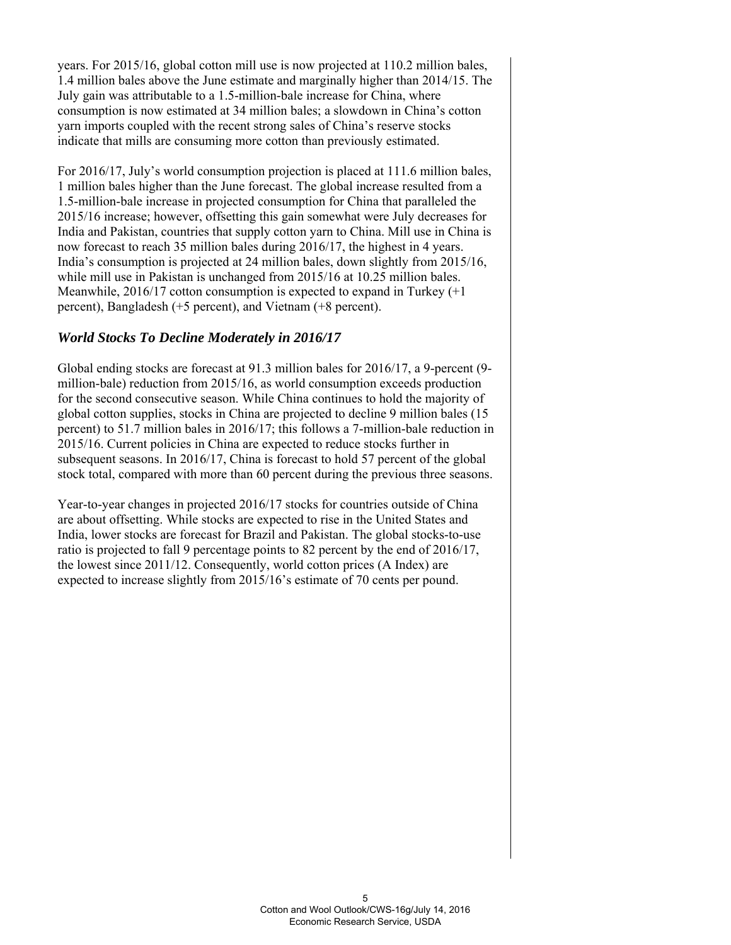years. For 2015/16, global cotton mill use is now projected at 110.2 million bales, 1.4 million bales above the June estimate and marginally higher than 2014/15. The July gain was attributable to a 1.5-million-bale increase for China, where consumption is now estimated at 34 million bales; a slowdown in China's cotton yarn imports coupled with the recent strong sales of China's reserve stocks indicate that mills are consuming more cotton than previously estimated.

For 2016/17, July's world consumption projection is placed at 111.6 million bales, 1 million bales higher than the June forecast. The global increase resulted from a 1.5-million-bale increase in projected consumption for China that paralleled the 2015/16 increase; however, offsetting this gain somewhat were July decreases for India and Pakistan, countries that supply cotton yarn to China. Mill use in China is now forecast to reach 35 million bales during 2016/17, the highest in 4 years. India's consumption is projected at 24 million bales, down slightly from 2015/16, while mill use in Pakistan is unchanged from 2015/16 at 10.25 million bales. Meanwhile, 2016/17 cotton consumption is expected to expand in Turkey (+1 percent), Bangladesh (+5 percent), and Vietnam (+8 percent).

# *World Stocks To Decline Moderately in 2016/17*

Global ending stocks are forecast at 91.3 million bales for 2016/17, a 9-percent (9 million-bale) reduction from 2015/16, as world consumption exceeds production for the second consecutive season. While China continues to hold the majority of global cotton supplies, stocks in China are projected to decline 9 million bales (15 percent) to 51.7 million bales in 2016/17; this follows a 7-million-bale reduction in 2015/16. Current policies in China are expected to reduce stocks further in subsequent seasons. In 2016/17, China is forecast to hold 57 percent of the global stock total, compared with more than 60 percent during the previous three seasons.

Year-to-year changes in projected 2016/17 stocks for countries outside of China are about offsetting. While stocks are expected to rise in the United States and India, lower stocks are forecast for Brazil and Pakistan. The global stocks-to-use ratio is projected to fall 9 percentage points to 82 percent by the end of 2016/17, the lowest since 2011/12. Consequently, world cotton prices (A Index) are expected to increase slightly from 2015/16's estimate of 70 cents per pound.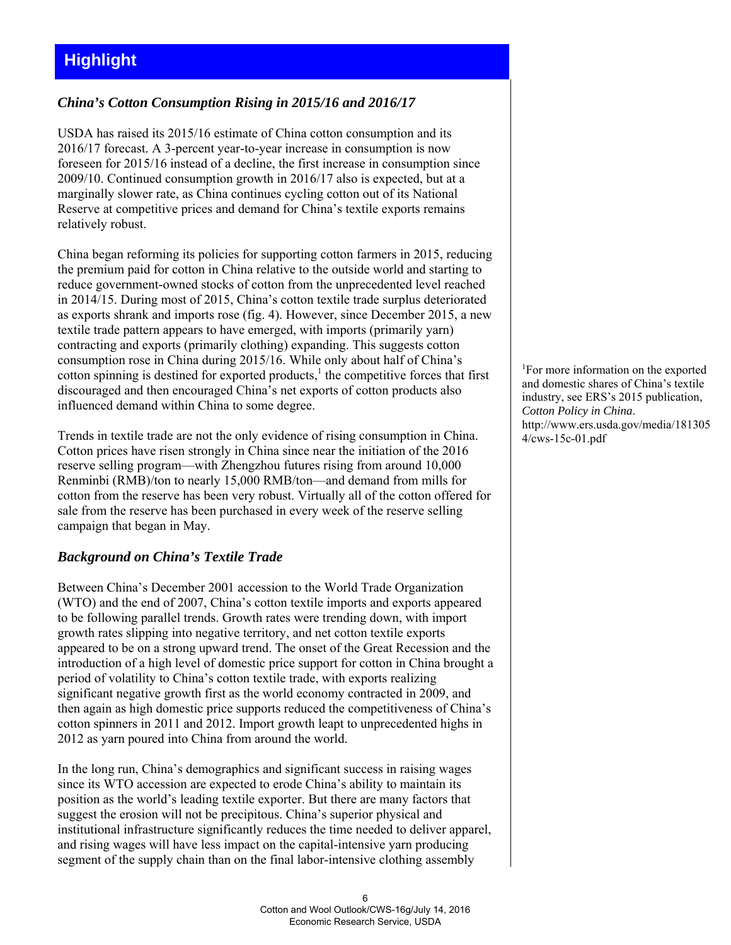# **Highlight**

## *China's Cotton Consumption Rising in 2015/16 and 2016/17*

USDA has raised its 2015/16 estimate of China cotton consumption and its 2016/17 forecast. A 3-percent year-to-year increase in consumption is now foreseen for 2015/16 instead of a decline, the first increase in consumption since 2009/10. Continued consumption growth in 2016/17 also is expected, but at a marginally slower rate, as China continues cycling cotton out of its National Reserve at competitive prices and demand for China's textile exports remains relatively robust.

China began reforming its policies for supporting cotton farmers in 2015, reducing the premium paid for cotton in China relative to the outside world and starting to reduce government-owned stocks of cotton from the unprecedented level reached in 2014/15. During most of 2015, China's cotton textile trade surplus deteriorated as exports shrank and imports rose (fig. 4). However, since December 2015, a new textile trade pattern appears to have emerged, with imports (primarily yarn) contracting and exports (primarily clothing) expanding. This suggests cotton consumption rose in China during 2015/16. While only about half of China's cotton spinning is destined for exported products, $<sup>1</sup>$  the competitive forces that first</sup> discouraged and then encouraged China's net exports of cotton products also influenced demand within China to some degree.

Trends in textile trade are not the only evidence of rising consumption in China. Cotton prices have risen strongly in China since near the initiation of the 2016 reserve selling program—with Zhengzhou futures rising from around 10,000 Renminbi (RMB)/ton to nearly 15,000 RMB/ton—and demand from mills for cotton from the reserve has been very robust. Virtually all of the cotton offered for sale from the reserve has been purchased in every week of the reserve selling campaign that began in May.

## *Background on China's Textile Trade*

Between China's December 2001 accession to the World Trade Organization (WTO) and the end of 2007, China's cotton textile imports and exports appeared to be following parallel trends. Growth rates were trending down, with import growth rates slipping into negative territory, and net cotton textile exports appeared to be on a strong upward trend. The onset of the Great Recession and the introduction of a high level of domestic price support for cotton in China brought a period of volatility to China's cotton textile trade, with exports realizing significant negative growth first as the world economy contracted in 2009, and then again as high domestic price supports reduced the competitiveness of China's cotton spinners in 2011 and 2012. Import growth leapt to unprecedented highs in 2012 as yarn poured into China from around the world.

In the long run, China's demographics and significant success in raising wages since its WTO accession are expected to erode China's ability to maintain its position as the world's leading textile exporter. But there are many factors that suggest the erosion will not be precipitous. China's superior physical and institutional infrastructure significantly reduces the time needed to deliver apparel, and rising wages will have less impact on the capital-intensive yarn producing segment of the supply chain than on the final labor-intensive clothing assembly

1 For more information on the exported and domestic shares of China's textile industry, see ERS's 2015 publication, *Cotton Policy in China*. http://www.ers.usda.gov/media/181305 4/cws-15c-01.pdf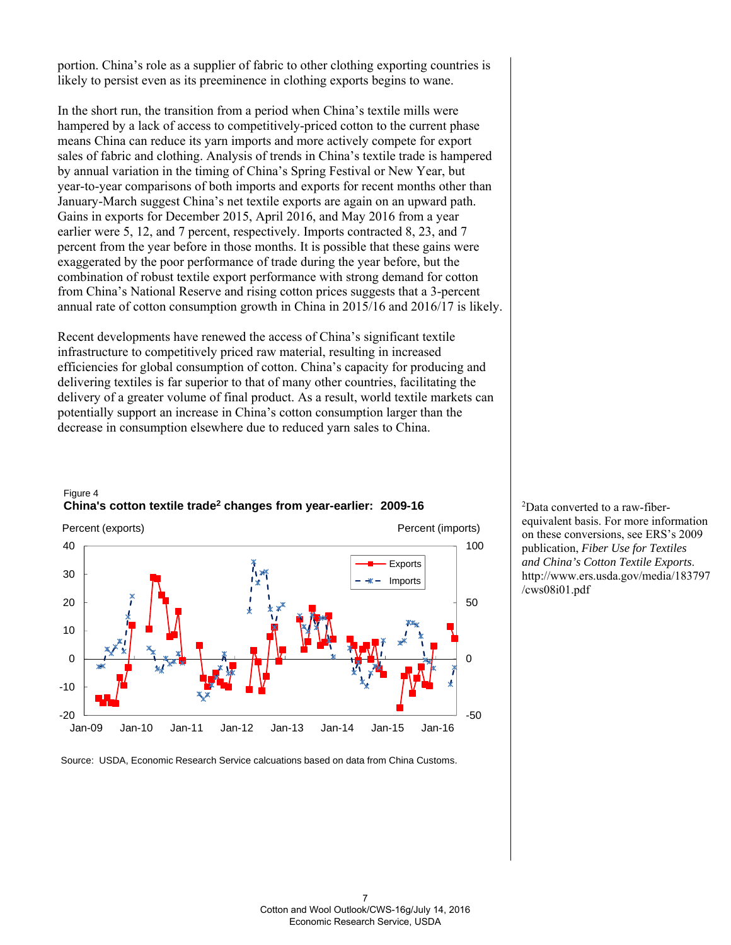portion. China's role as a supplier of fabric to other clothing exporting countries is likely to persist even as its preeminence in clothing exports begins to wane.

In the short run, the transition from a period when China's textile mills were hampered by a lack of access to competitively-priced cotton to the current phase means China can reduce its yarn imports and more actively compete for export sales of fabric and clothing. Analysis of trends in China's textile trade is hampered by annual variation in the timing of China's Spring Festival or New Year, but year-to-year comparisons of both imports and exports for recent months other than January-March suggest China's net textile exports are again on an upward path. Gains in exports for December 2015, April 2016, and May 2016 from a year earlier were 5, 12, and 7 percent, respectively. Imports contracted 8, 23, and 7 percent from the year before in those months. It is possible that these gains were exaggerated by the poor performance of trade during the year before, but the combination of robust textile export performance with strong demand for cotton from China's National Reserve and rising cotton prices suggests that a 3-percent annual rate of cotton consumption growth in China in 2015/16 and 2016/17 is likely.

Recent developments have renewed the access of China's significant textile infrastructure to competitively priced raw material, resulting in increased efficiencies for global consumption of cotton. China's capacity for producing and delivering textiles is far superior to that of many other countries, facilitating the delivery of a greater volume of final product. As a result, world textile markets can potentially support an increase in China's cotton consumption larger than the decrease in consumption elsewhere due to reduced yarn sales to China.



#### Figure 4 **China's cotton textile trade2 changes from year-earlier: 2009-16**

Source: USDA, Economic Research Service calcuations based on data from China Customs.

2 Data converted to a raw-fiberequivalent basis. For more information on these conversions, see ERS's 2009 publication, *Fiber Use for Textiles and China's Cotton Textile Exports*. http://www.ers.usda.gov/media/183797 /cws08i01.pdf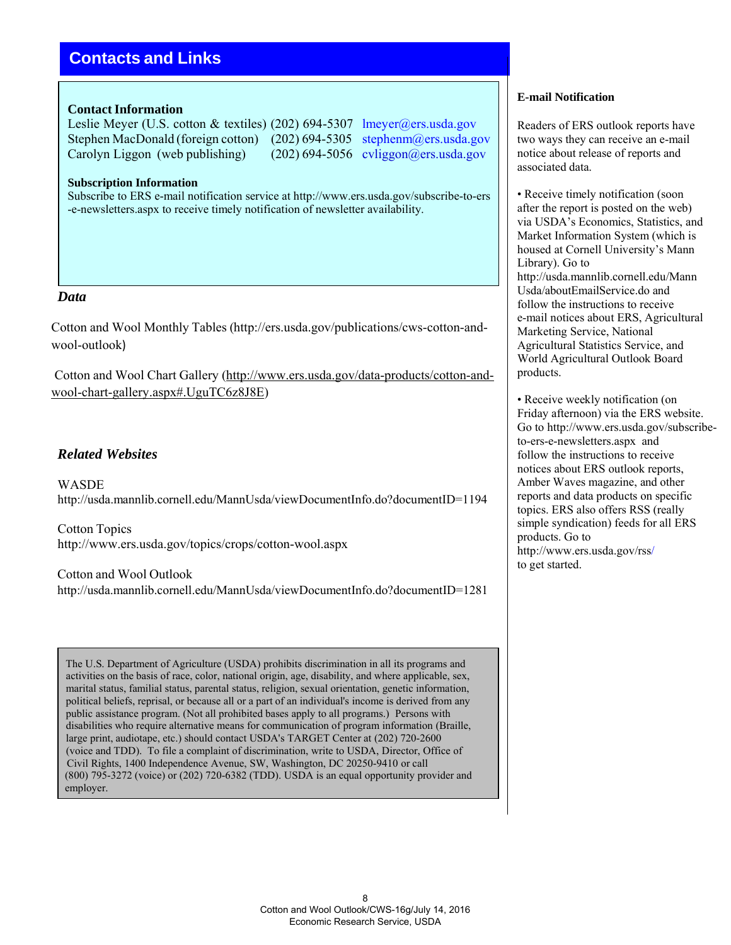# **Contacts and Links**

#### **Contact Information**

Leslie Meyer (U.S. cotton & textiles) (202) 694-5307 lmeyer@ers.usda.gov Stephen MacDonald (foreign cotton) (202) 694-5305 stephenm@ers.usda.gov Carolyn Liggon (web publishing) (202) 694-5056 cyliggon@ers.usda.gov

**Subscription Information**

Subscribe to ERS e-mail notification service at http://www.ers.usda.gov/subscribe-to-ers -e-newsletters.aspx to receive timely notification of newsletter availability.

#### *Data*

Cotton and Wool Monthly Tables (http://ers.usda.gov/publications/cws-cotton-andwool-outlook)

Cotton and Wool Chart Gallery (http://www.ers.usda.gov/data-products/cotton-andwool-chart-gallery.aspx#.UguTC6z8J8E)

## *Related Websites*

**WASDE** http://usda.mannlib.cornell.edu/MannUsda/viewDocumentInfo.do?documentID=1194

Cotton Topics http://www.ers.usda.gov/topics/crops/cotton-wool.aspx

Cotton and Wool Outlook http://usda.mannlib.cornell.edu/MannUsda/viewDocumentInfo.do?documentID=1281

The U.S. Department of Agriculture (USDA) prohibits discrimination in all its programs and activities on the basis of race, color, national origin, age, disability, and where applicable, sex, marital status, familial status, parental status, religion, sexual orientation, genetic information, political beliefs, reprisal, or because all or a part of an individual's income is derived from any public assistance program. (Not all prohibited bases apply to all programs.) Persons with disabilities who require alternative means for communication of program information (Braille, large print, audiotape, etc.) should contact USDA's TARGET Center at (202) 720-2600 (voice and TDD). To file a complaint of discrimination, write to USDA, Director, Office of Civil Rights, 1400 Independence Avenue, SW, Washington, DC 20250-9410 or call (800) 795-3272 (voice) or (202) 720-6382 (TDD). USDA is an equal opportunity provider and employer.

#### **E-mail Notification**

Readers of ERS outlook reports have two ways they can receive an e-mail notice about release of reports and associated data.

• Receive timely notification (soon) after the report is posted on the web) via USDA's Economics, Statistics, and Market Information System (which is housed at Cornell University's Mann Library). Go to http://usda.mannlib.cornell.edu/Mann Usda/aboutEmailService.do and follow the instructions to receive e-mail notices about ERS, Agricultural Marketing Service, National Agricultural Statistics Service, and World Agricultural Outlook Board products.

• Receive weekly notification (on Friday afternoon) via the ERS website. Go to http://www.ers.usda.gov/subscribeto-ers-e-newsletters.aspx and follow the instructions to receive notices about ERS outlook reports, Amber Waves magazine, and other reports and data products on specific topics. ERS also offers RSS (really simple syndication) feeds for all ERS products. Go to http://www.ers.usda.gov/rss/ to get started.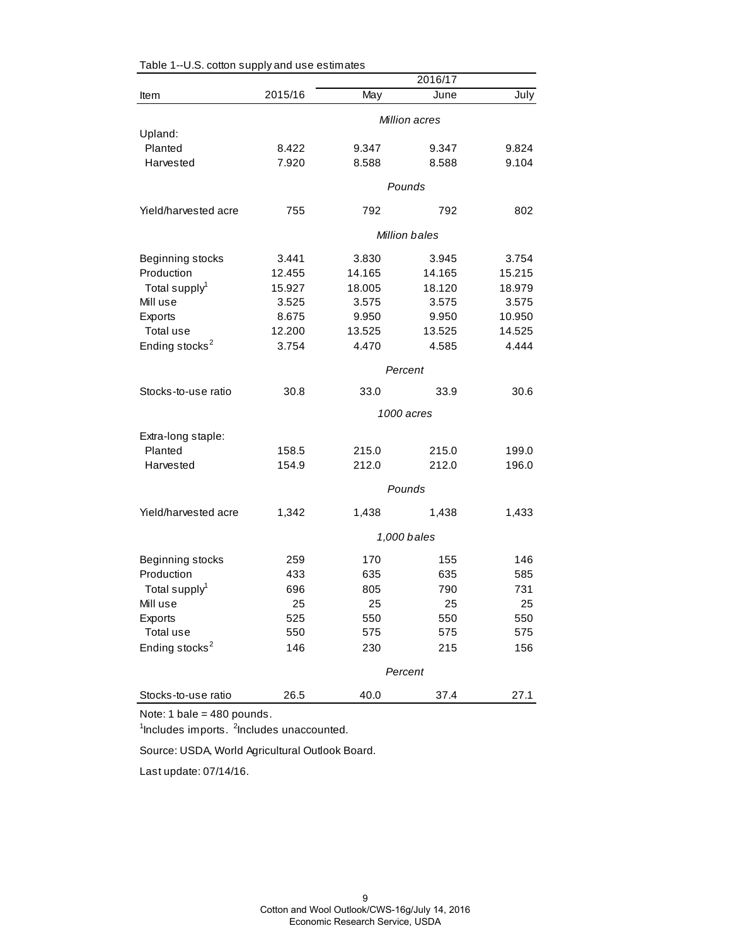|                               |         |        | 2016/17              |        |
|-------------------------------|---------|--------|----------------------|--------|
| Item                          | 2015/16 | May    | June                 | July   |
|                               |         |        | <b>Million acres</b> |        |
| Upland:                       |         |        |                      |        |
| Planted                       | 8.422   | 9.347  | 9.347                | 9.824  |
| Harvested                     | 7.920   | 8.588  | 8.588                | 9.104  |
|                               |         |        | Pounds               |        |
| Yield/harvested acre          | 755     | 792    | 792                  | 802    |
|                               |         |        | <b>Million bales</b> |        |
| Beginning stocks              | 3.441   | 3.830  | 3.945                | 3.754  |
| Production                    | 12.455  | 14.165 | 14.165               | 15.215 |
| Total supply <sup>1</sup>     | 15.927  | 18.005 | 18.120               | 18.979 |
| Mill use                      | 3.525   | 3.575  | 3.575                | 3.575  |
| Exports                       | 8.675   | 9.950  | 9.950                | 10.950 |
| Total use                     | 12.200  | 13.525 | 13.525               | 14.525 |
| Ending stocks <sup>2</sup>    | 3.754   | 4.470  | 4.585                | 4.444  |
|                               |         |        | Percent              |        |
| Stocks-to-use ratio           | 30.8    | 33.0   | 33.9                 | 30.6   |
|                               |         |        | 1000 acres           |        |
|                               |         |        |                      |        |
| Extra-long staple:<br>Planted | 158.5   | 215.0  | 215.0                | 199.0  |
| Harvested                     | 154.9   | 212.0  | 212.0                | 196.0  |
|                               |         |        |                      |        |
|                               |         |        | Pounds               |        |
| Yield/harvested acre          | 1,342   | 1,438  | 1,438                | 1,433  |
|                               |         |        | 1,000 bales          |        |
| Beginning stocks              | 259     | 170    | 155                  | 146    |
| Production                    | 433     | 635    | 635                  | 585    |
| Total supply <sup>1</sup>     | 696     | 805    | 790                  | 731    |
| Mill use                      | 25      | 25     | 25                   | 25     |
| Exports                       | 525     | 550    | 550                  | 550    |
| Total use                     | 550     | 575    | 575                  | 575    |
| Ending stocks <sup>2</sup>    | 146     | 230    | 215                  | 156    |
|                               |         |        | Percent              |        |
| Stocks-to-use ratio           | 26.5    | 40.0   | 37.4                 | 27.1   |

Table 1--U.S. cotton supply and use estimates

Note: 1 bale = 480 pounds.

<sup>1</sup>Includes imports. <sup>2</sup>Includes unaccounted.

Source: USDA, World Agricultural Outlook Board.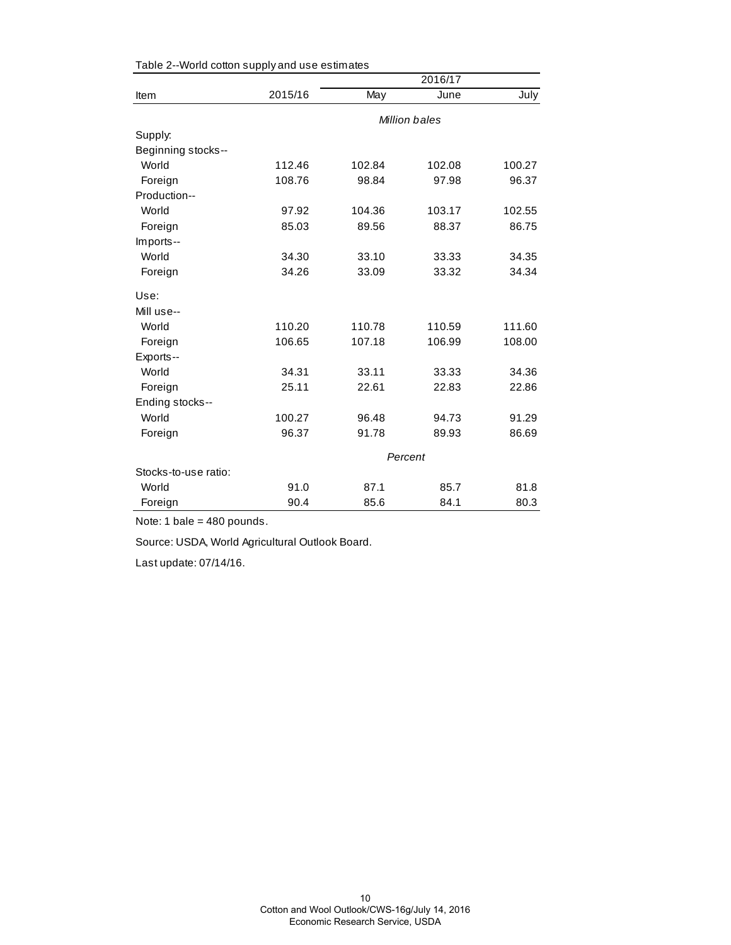|                      |               | 2016/17 |        |        |  |  |
|----------------------|---------------|---------|--------|--------|--|--|
| Item                 | 2015/16       | May     | June   | July   |  |  |
|                      | Million bales |         |        |        |  |  |
| Supply:              |               |         |        |        |  |  |
| Beginning stocks--   |               |         |        |        |  |  |
| World                | 112.46        | 102.84  | 102.08 | 100.27 |  |  |
| Foreign              | 108.76        | 98.84   | 97.98  | 96.37  |  |  |
| Production--         |               |         |        |        |  |  |
| World                | 97.92         | 104.36  | 103.17 | 102.55 |  |  |
| Foreign              | 85.03         | 89.56   | 88.37  | 86.75  |  |  |
| Imports--            |               |         |        |        |  |  |
| World                | 34.30         | 33.10   | 33.33  | 34.35  |  |  |
| Foreign              | 34.26         | 33.09   | 33.32  | 34.34  |  |  |
| Use:                 |               |         |        |        |  |  |
| Mill use--           |               |         |        |        |  |  |
| World                | 110.20        | 110.78  | 110.59 | 111.60 |  |  |
| Foreign              | 106.65        | 107.18  | 106.99 | 108.00 |  |  |
| Exports--            |               |         |        |        |  |  |
| World                | 34.31         | 33.11   | 33.33  | 34.36  |  |  |
| Foreign              | 25.11         | 22.61   | 22.83  | 22.86  |  |  |
| Ending stocks--      |               |         |        |        |  |  |
| World                | 100.27        | 96.48   | 94.73  | 91.29  |  |  |
| Foreign              | 96.37         | 91.78   | 89.93  | 86.69  |  |  |
|                      | Percent       |         |        |        |  |  |
| Stocks-to-use ratio: |               |         |        |        |  |  |
| World                | 91.0          | 87.1    | 85.7   | 81.8   |  |  |
| Foreign              | 90.4          | 85.6    | 84.1   | 80.3   |  |  |

Table 2--World cotton supply and use estimates

Note: 1 bale = 480 pounds.

Source: USDA, World Agricultural Outlook Board.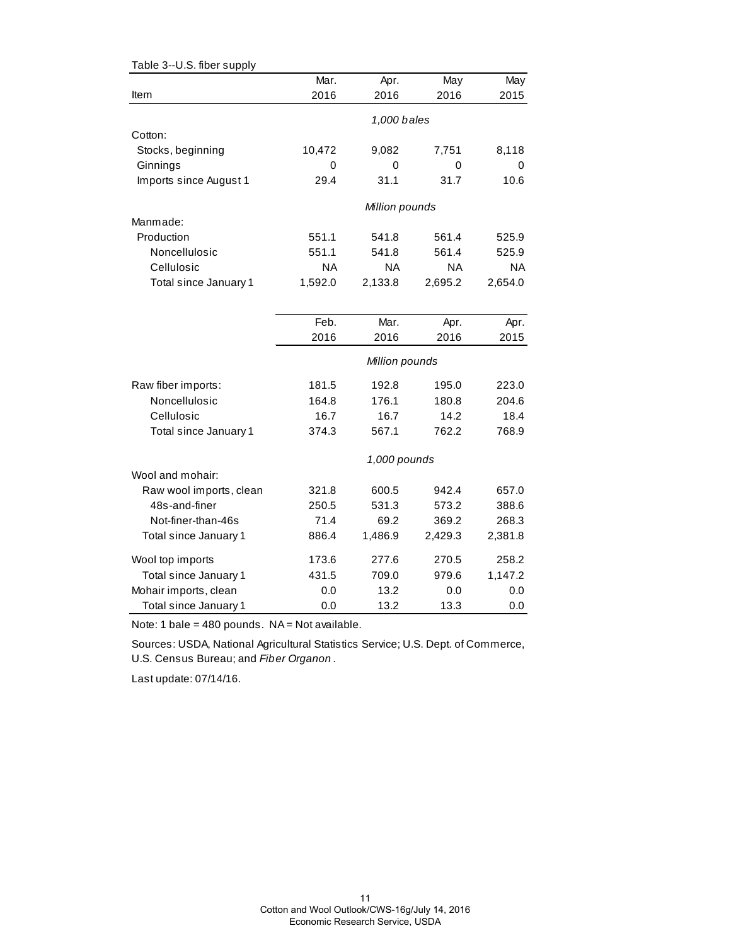| Table 3--U.S. fiber supply |           |                |         |           |
|----------------------------|-----------|----------------|---------|-----------|
|                            | Mar.      | Apr.           | May     | May       |
| ltem                       | 2016      | 2016           | 2016    | 2015      |
|                            |           | 1,000 bales    |         |           |
|                            |           |                |         |           |
| Cotton:                    |           |                |         |           |
| Stocks, beginning          | 10,472    | 9,082          | 7,751   | 8,118     |
| Ginnings                   | 0         | 0              | 0       | 0         |
| Imports since August 1     | 29.4      | 31.1           | 31.7    | 10.6      |
|                            |           | Million pounds |         |           |
| Manmade:                   |           |                |         |           |
| Production                 | 551.1     | 541.8          | 561.4   | 525.9     |
| Noncellulosic              | 551.1     | 541.8          | 561.4   | 525.9     |
| Cellulosic                 | <b>NA</b> | NA.            | NA.     | <b>NA</b> |
| Total since January 1      | 1,592.0   | 2,133.8        | 2,695.2 | 2,654.0   |
|                            |           |                |         |           |
|                            | Feb.      | Mar.           | Apr.    | Apr.      |
|                            | 2016      | 2016           | 2016    | 2015      |
|                            |           | Million pounds |         |           |
| Raw fiber imports:         | 181.5     | 192.8          | 195.0   | 223.0     |
| Noncellulosic              | 164.8     | 176.1          | 180.8   | 204.6     |
| Cellulosic                 | 16.7      | 16.7           | 14.2    | 18.4      |
| Total since January 1      | 374.3     | 567.1          | 762.2   | 768.9     |
|                            |           |                |         |           |
| Wool and mohair:           |           | 1,000 pounds   |         |           |
| Raw wool imports, clean    | 321.8     | 600.5          | 942.4   | 657.0     |
| 48s-and-finer              | 250.5     | 531.3          | 573.2   | 388.6     |
| Not-finer-than-46s         | 71.4      | 69.2           | 369.2   | 268.3     |
|                            |           |                |         |           |
| Total since January 1      | 886.4     | 1,486.9        | 2,429.3 | 2,381.8   |
| Wool top imports           | 173.6     | 277.6          | 270.5   | 258.2     |
| Total since January 1      | 431.5     | 709.0          | 979.6   | 1,147.2   |
| Mohair imports, clean      | 0.0       | 13.2           | 0.0     | 0.0       |
| Total since January 1      | 0.0       | 13.2           | 13.3    | 0.0       |

Note: 1 bale = 480 pounds.  $NA = Not available$ .

Sources: USDA, National Agricultural Statistics Service; U.S. Dept. of Commerce, U.S. Census Bureau; and *Fiber Organon* .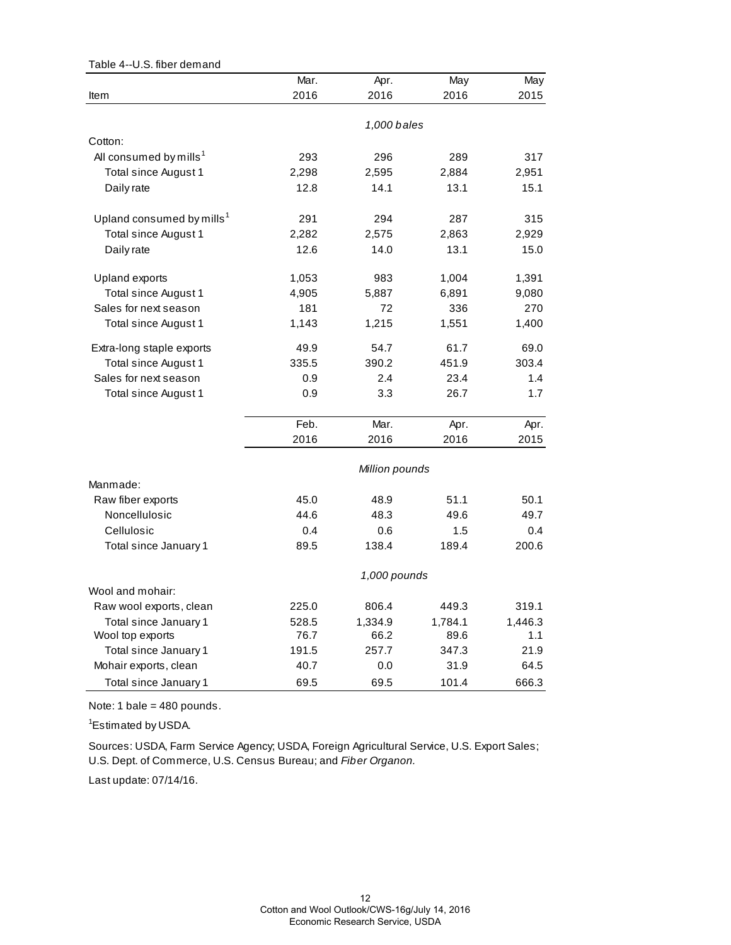| Table 4--U.S. fiber demand            |       |                |         |         |
|---------------------------------------|-------|----------------|---------|---------|
|                                       | Mar.  | Apr.           | May     | May     |
| Item                                  | 2016  | 2016           | 2016    | 2015    |
|                                       |       | 1,000 bales    |         |         |
| Cotton:                               |       |                |         |         |
| All consumed by mills <sup>1</sup>    | 293   | 296            | 289     | 317     |
| Total since August 1                  | 2,298 | 2,595          | 2,884   | 2,951   |
| Daily rate                            | 12.8  | 14.1           | 13.1    | 15.1    |
| Upland consumed by mills <sup>1</sup> | 291   | 294            | 287     | 315     |
| Total since August 1                  | 2,282 | 2,575          | 2,863   | 2,929   |
| Daily rate                            | 12.6  | 14.0           | 13.1    | 15.0    |
| Upland exports                        | 1,053 | 983            | 1,004   | 1,391   |
| Total since August 1                  | 4,905 | 5,887          | 6,891   | 9,080   |
| Sales for next season                 | 181   | 72             | 336     | 270     |
| Total since August 1                  | 1,143 | 1,215          | 1,551   | 1,400   |
| Extra-long staple exports             | 49.9  | 54.7           | 61.7    | 69.0    |
| Total since August 1                  | 335.5 | 390.2          | 451.9   | 303.4   |
| Sales for next season                 | 0.9   | 2.4            | 23.4    | 1.4     |
| Total since August 1                  | 0.9   | 3.3            | 26.7    | 1.7     |
|                                       | Feb.  | Mar.           | Apr.    | Apr.    |
|                                       | 2016  | 2016           | 2016    | 2015    |
|                                       |       | Million pounds |         |         |
| Manmade:                              |       |                |         |         |
| Raw fiber exports                     | 45.0  | 48.9           | 51.1    | 50.1    |
| Noncellulosic                         | 44.6  | 48.3           | 49.6    | 49.7    |
| Cellulosic                            | 0.4   | 0.6            | 1.5     | 0.4     |
| Total since January 1                 | 89.5  | 138.4          | 189.4   | 200.6   |
|                                       |       | 1,000 pounds   |         |         |
| Wool and mohair:                      |       |                |         |         |
| Raw wool exports, clean               | 225.0 | 806.4          | 449.3   | 319.1   |
| Total since January 1                 | 528.5 | 1,334.9        | 1,784.1 | 1,446.3 |
| Wool top exports                      | 76.7  | 66.2           | 89.6    | 1.1     |
| Total since January 1                 | 191.5 | 257.7          | 347.3   | 21.9    |
| Mohair exports, clean                 | 40.7  | 0.0            | 31.9    | 64.5    |
| Total since January 1                 | 69.5  | 69.5           | 101.4   | 666.3   |

Note: 1 bale = 480 pounds.

<sup>1</sup>Estimated by USDA.

Sources: USDA, Farm Service Agency; USDA, Foreign Agricultural Service, U.S. Export Sales; U.S. Dept. of Commerce, U.S. Census Bureau; and *Fiber Organon.*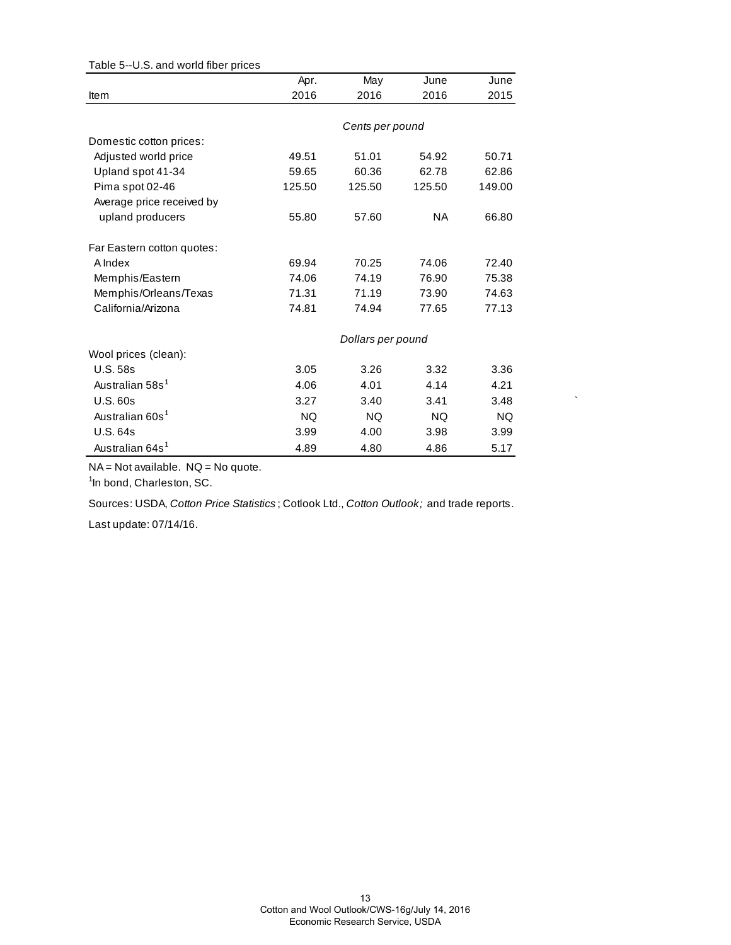| rable J--0.3. and wond liber prices |           |                   |           |        |
|-------------------------------------|-----------|-------------------|-----------|--------|
|                                     | Apr.      | May               | June      | June   |
| Item                                | 2016      | 2016              | 2016      | 2015   |
|                                     |           |                   |           |        |
|                                     |           | Cents per pound   |           |        |
| Domestic cotton prices:             |           |                   |           |        |
| Adjusted world price                | 49.51     | 51.01             | 54.92     | 50.71  |
| Upland spot 41-34                   | 59.65     | 60.36             | 62.78     | 62.86  |
| Pima spot 02-46                     | 125.50    | 125.50            | 125.50    | 149.00 |
| Average price received by           |           |                   |           |        |
| upland producers                    | 55.80     | 57.60             | NA.       | 66.80  |
| Far Eastern cotton quotes:          |           |                   |           |        |
| A Index                             | 69.94     | 70.25             | 74.06     | 72.40  |
| Memphis/Eastern                     | 74.06     | 74.19             | 76.90     | 75.38  |
| Memphis/Orleans/Texas               | 71.31     | 71.19             | 73.90     | 74.63  |
| California/Arizona                  | 74.81     | 74.94             | 77.65     | 77.13  |
|                                     |           | Dollars per pound |           |        |
| Wool prices (clean):                |           |                   |           |        |
| <b>U.S. 58s</b>                     | 3.05      | 3.26              | 3.32      | 3.36   |
| Australian 58s <sup>1</sup>         | 4.06      | 4.01              | 4.14      | 4.21   |
| U.S. 60s                            | 3.27      | 3.40              | 3.41      | 3.48   |
| Australian 60s <sup>1</sup>         | <b>NQ</b> | <b>NQ</b>         | <b>NQ</b> | NQ.    |
| U.S. 64s                            | 3.99      | 4.00              | 3.98      | 3.99   |
| Australian 64s <sup>1</sup>         | 4.89      | 4.80              | 4.86      | 5.17   |

Table 5--U.S. and world fiber prices

NA = Not available. NQ = No quote.

<sup>1</sup>In bond, Charleston, SC.

Sources: USDA, *Cotton Price Statistics* ; Cotlook Ltd., *Cotton Outlook;* and trade reports.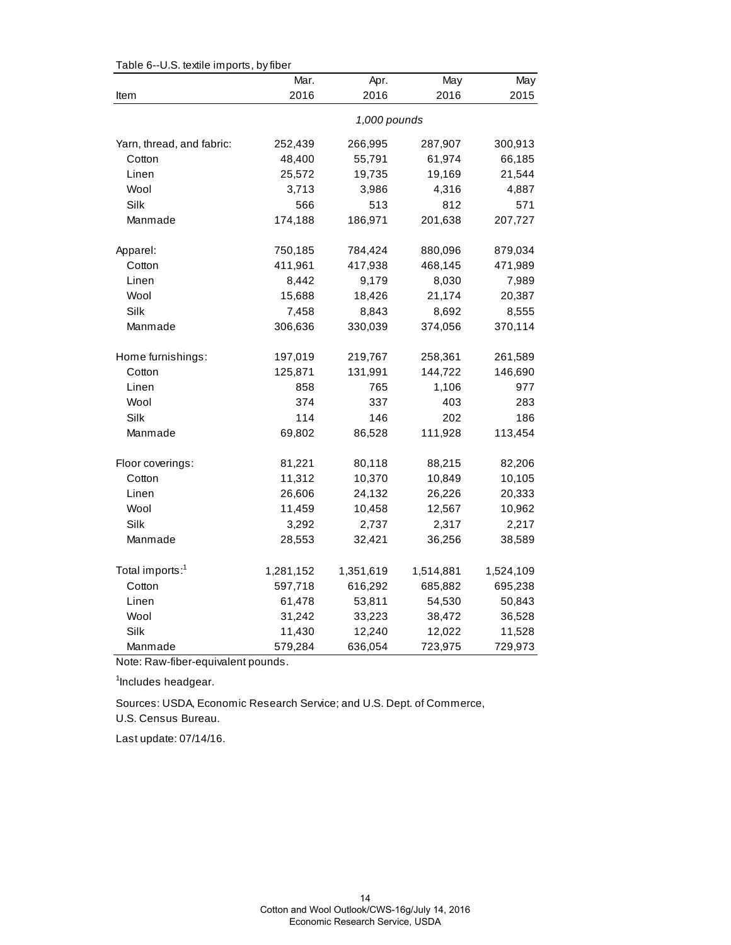| ι αυισ υ<br>$-0.0.$ textife imports, by liber | Mar.         | Apr.      | May       | May       |  |
|-----------------------------------------------|--------------|-----------|-----------|-----------|--|
| Item                                          | 2016         | 2016      | 2016      | 2015      |  |
|                                               | 1,000 pounds |           |           |           |  |
| Yarn, thread, and fabric:                     | 252,439      | 266,995   | 287,907   | 300,913   |  |
| Cotton                                        | 48,400       | 55,791    | 61,974    | 66,185    |  |
| Linen                                         | 25,572       | 19,735    | 19,169    | 21,544    |  |
| Wool                                          | 3,713        | 3,986     | 4,316     | 4,887     |  |
| Silk                                          | 566          | 513       | 812       | 571       |  |
| Manmade                                       | 174,188      | 186,971   | 201,638   | 207,727   |  |
| Apparel:                                      | 750,185      | 784,424   | 880,096   | 879,034   |  |
| Cotton                                        | 411,961      | 417,938   | 468,145   | 471,989   |  |
| Linen                                         | 8,442        | 9,179     | 8,030     | 7,989     |  |
| Wool                                          | 15,688       | 18,426    | 21,174    | 20,387    |  |
| Silk                                          | 7,458        | 8,843     | 8,692     | 8,555     |  |
| Manmade                                       | 306,636      | 330,039   | 374,056   | 370,114   |  |
| Home furnishings:                             | 197,019      | 219,767   | 258,361   | 261,589   |  |
| Cotton                                        | 125,871      | 131,991   | 144,722   | 146,690   |  |
| Linen                                         | 858          | 765       | 1,106     | 977       |  |
| Wool                                          | 374          | 337       | 403       | 283       |  |
| Silk                                          | 114          | 146       | 202       | 186       |  |
| Manmade                                       | 69,802       | 86,528    | 111,928   | 113,454   |  |
| Floor coverings:                              | 81,221       | 80,118    | 88,215    | 82,206    |  |
| Cotton                                        | 11,312       | 10,370    | 10,849    | 10,105    |  |
| Linen                                         | 26,606       | 24,132    | 26,226    | 20,333    |  |
| Wool                                          | 11,459       | 10,458    | 12,567    | 10,962    |  |
| Silk                                          | 3,292        | 2,737     | 2,317     | 2,217     |  |
| Manmade                                       | 28,553       | 32,421    | 36,256    | 38,589    |  |
| Total imports: <sup>1</sup>                   | 1,281,152    | 1,351,619 | 1,514,881 | 1,524,109 |  |
| Cotton                                        | 597,718      | 616,292   | 685,882   | 695,238   |  |
| Linen                                         | 61,478       | 53,811    | 54,530    | 50,843    |  |
| Wool                                          | 31,242       | 33,223    | 38,472    | 36,528    |  |
| Silk                                          | 11,430       | 12,240    | 12,022    | 11,528    |  |
| Manmade                                       | 579,284      | 636,054   | 723,975   | 729,973   |  |

Table 6--U.S. textile imports, by fiber

Note: Raw-fiber-equivalent pounds.

<sup>1</sup>Includes headgear.

Sources: USDA, Economic Research Service; and U.S. Dept. of Commerce,

U.S. Census Bureau.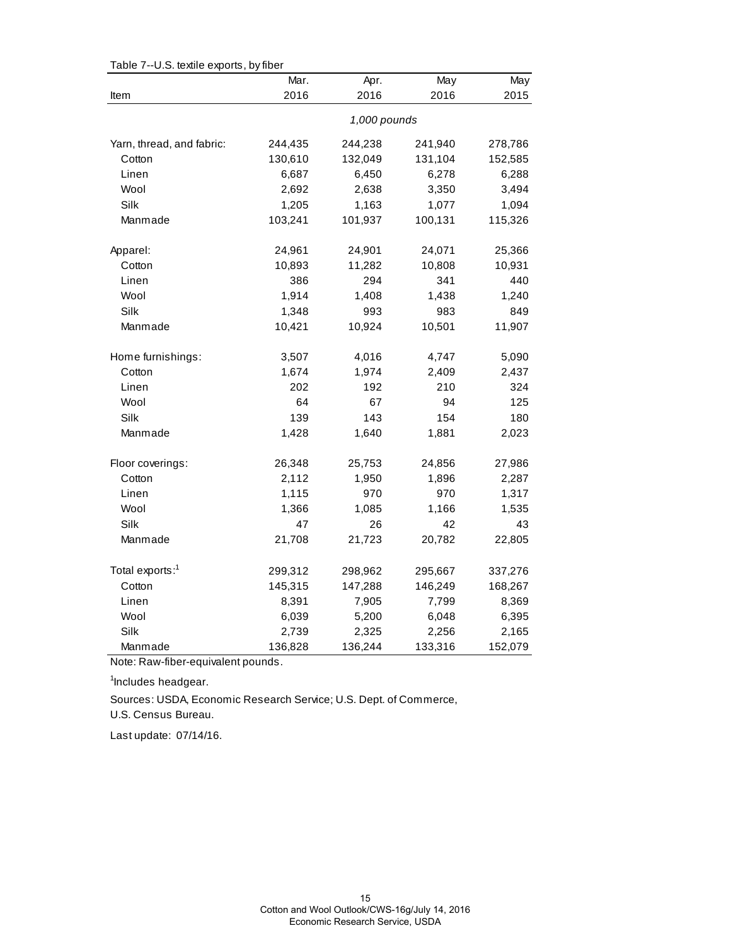| o.o. to alite caputto, by liber | Mar.    | Apr.         | May     | May     |
|---------------------------------|---------|--------------|---------|---------|
| Item                            | 2016    | 2016         | 2016    | 2015    |
|                                 |         | 1,000 pounds |         |         |
| Yarn, thread, and fabric:       | 244,435 | 244,238      | 241,940 | 278,786 |
| Cotton                          | 130,610 | 132,049      | 131,104 | 152,585 |
| Linen                           | 6,687   | 6,450        | 6,278   | 6,288   |
| Wool                            | 2,692   | 2,638        | 3,350   | 3,494   |
| Silk                            | 1,205   | 1,163        | 1,077   | 1,094   |
| Manmade                         | 103,241 | 101,937      | 100,131 | 115,326 |
| Apparel:                        | 24,961  | 24,901       | 24,071  | 25,366  |
| Cotton                          | 10,893  | 11,282       | 10,808  | 10,931  |
| Linen                           | 386     | 294          | 341     | 440     |
| Wool                            | 1,914   | 1,408        | 1,438   | 1,240   |
| Silk                            | 1,348   | 993          | 983     | 849     |
| Manmade                         | 10,421  | 10,924       | 10,501  | 11,907  |
| Home furnishings:               | 3,507   | 4,016        | 4,747   | 5,090   |
| Cotton                          | 1,674   | 1,974        | 2,409   | 2,437   |
| Linen                           | 202     | 192          | 210     | 324     |
| Wool                            | 64      | 67           | 94      | 125     |
| Silk                            | 139     | 143          | 154     | 180     |
| Manmade                         | 1,428   | 1,640        | 1,881   | 2,023   |
| Floor coverings:                | 26,348  | 25,753       | 24,856  | 27,986  |
| Cotton                          | 2,112   | 1,950        | 1,896   | 2,287   |
| Linen                           | 1,115   | 970          | 970     | 1,317   |
| Wool                            | 1,366   | 1,085        | 1,166   | 1,535   |
| Silk                            | 47      | 26           | 42      | 43      |
| Manmade                         | 21,708  | 21,723       | 20,782  | 22,805  |
| Total exports: <sup>1</sup>     | 299,312 | 298,962      | 295,667 | 337,276 |
| Cotton                          | 145,315 | 147,288      | 146,249 | 168,267 |
| Linen                           | 8,391   | 7,905        | 7,799   | 8,369   |
| Wool                            | 6,039   | 5,200        | 6,048   | 6,395   |
| Silk                            | 2,739   | 2,325        | 2,256   | 2,165   |
| Manmade                         | 136,828 | 136,244      | 133,316 | 152,079 |

Table 7--U.S. textile exports, by fiber

Note: Raw-fiber-equivalent pounds.

<sup>1</sup>Includes headgear.

Sources: USDA, Economic Research Service; U.S. Dept. of Commerce,

U.S. Census Bureau.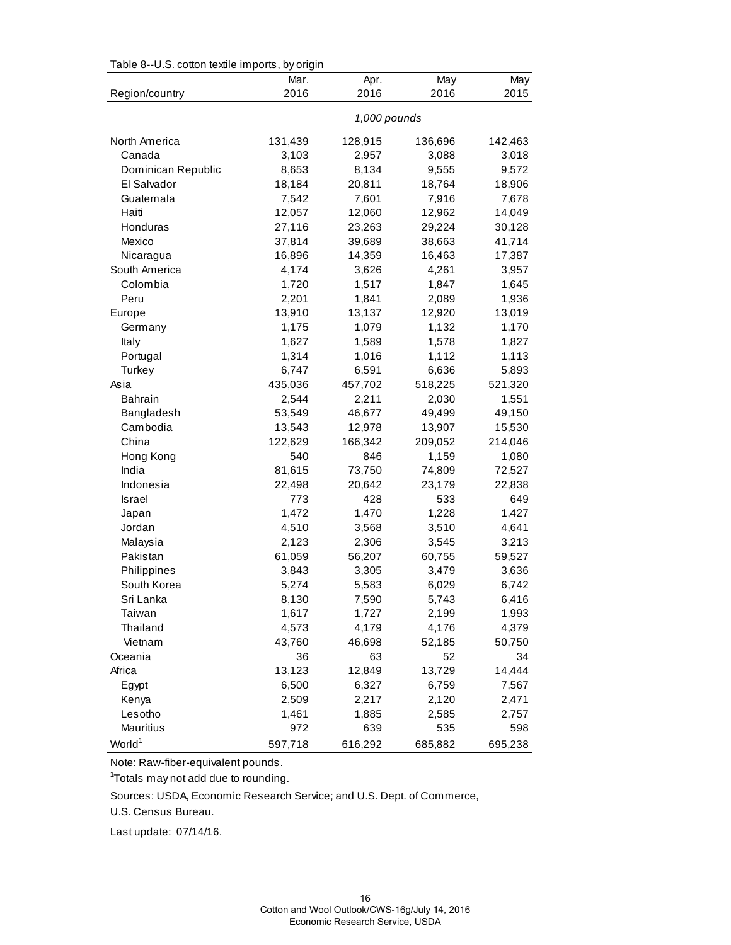| Table 8--U.S. cotton textile imports, by origin |  |  |  |  |
|-------------------------------------------------|--|--|--|--|
|                                                 |  |  |  |  |

|                    | Mar.    | Apr.         | May     | May     |
|--------------------|---------|--------------|---------|---------|
| Region/country     | 2016    | 2016         | 2016    | 2015    |
|                    |         | 1,000 pounds |         |         |
| North America      | 131,439 | 128,915      | 136,696 | 142,463 |
| Canada             | 3,103   | 2,957        | 3,088   | 3,018   |
| Dominican Republic | 8,653   | 8,134        | 9,555   | 9,572   |
| El Salvador        | 18,184  | 20,811       | 18,764  | 18,906  |
| Guatemala          | 7,542   | 7,601        | 7,916   | 7,678   |
| Haiti              | 12,057  | 12,060       | 12,962  | 14,049  |
| Honduras           | 27,116  | 23,263       | 29,224  | 30,128  |
| Mexico             | 37,814  | 39,689       | 38,663  | 41,714  |
| Nicaragua          | 16,896  | 14,359       | 16,463  | 17,387  |
| South America      | 4,174   | 3,626        | 4,261   | 3,957   |
| Colombia           | 1,720   | 1,517        | 1,847   | 1,645   |
| Peru               | 2,201   | 1,841        | 2,089   | 1,936   |
| Europe             | 13,910  | 13,137       | 12,920  | 13,019  |
| Germany            | 1,175   | 1,079        | 1,132   | 1,170   |
| Italy              | 1,627   | 1,589        | 1,578   | 1,827   |
| Portugal           | 1,314   | 1,016        | 1,112   | 1,113   |
| Turkey             | 6,747   | 6,591        | 6,636   | 5,893   |
| Asia               | 435,036 | 457,702      | 518,225 | 521,320 |
| <b>Bahrain</b>     | 2,544   | 2,211        | 2,030   | 1,551   |
| Bangladesh         | 53,549  | 46,677       | 49,499  | 49,150  |
| Cambodia           | 13,543  | 12,978       | 13,907  | 15,530  |
| China              | 122,629 | 166,342      | 209,052 | 214,046 |
| Hong Kong          | 540     | 846          | 1,159   | 1,080   |
| India              | 81,615  | 73,750       | 74,809  | 72,527  |
| Indonesia          | 22,498  | 20,642       | 23,179  | 22,838  |
| Israel             | 773     | 428          | 533     | 649     |
| Japan              | 1,472   | 1,470        | 1,228   | 1,427   |
| Jordan             | 4,510   | 3,568        | 3,510   | 4,641   |
| Malaysia           | 2,123   | 2,306        | 3,545   | 3,213   |
| Pakistan           | 61,059  | 56,207       | 60,755  | 59,527  |
| Philippines        | 3,843   | 3,305        | 3,479   | 3,636   |
| South Korea        | 5,274   | 5,583        | 6,029   | 6,742   |
| Sri Lanka          | 8,130   | 7,590        | 5,743   | 6,416   |
| Taiwan             | 1,617   | 1,727        | 2,199   | 1,993   |
| Thailand           | 4,573   | 4,179        | 4,176   | 4,379   |
| Vietnam            | 43,760  | 46,698       | 52,185  | 50,750  |
| Oceania            | 36      | 63           | 52      | 34      |
| Africa             | 13,123  | 12,849       | 13,729  | 14,444  |
| Egypt              | 6,500   | 6,327        | 6,759   | 7,567   |
| Kenya              | 2,509   | 2,217        | 2,120   | 2,471   |
| Lesotho            | 1,461   | 1,885        | 2,585   | 2,757   |
| Mauritius          | 972     | 639          | 535     | 598     |
| World <sup>1</sup> | 597,718 | 616,292      | 685,882 | 695,238 |

Note: Raw-fiber-equivalent pounds.

<sup>1</sup>Totals may not add due to rounding.

Sources: USDA, Economic Research Service; and U.S. Dept. of Commerce,

U.S. Census Bureau.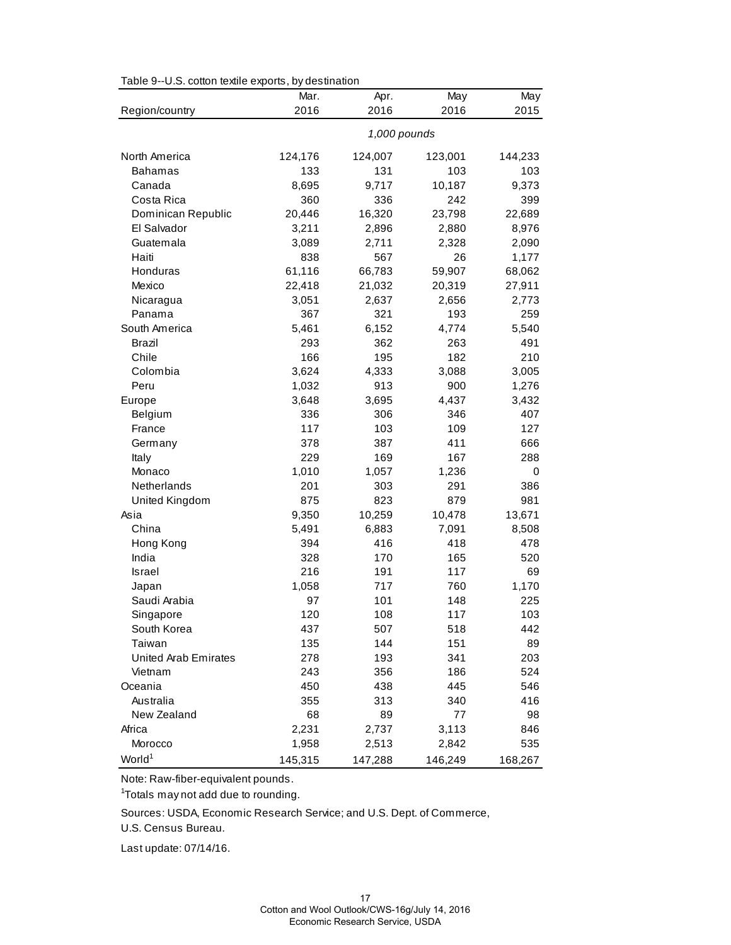| Table 9--U.S. cotton textile exports, by destination |  |  |  |  |
|------------------------------------------------------|--|--|--|--|
|------------------------------------------------------|--|--|--|--|

|                             | Mar.       | Apr.         | May        | May       |
|-----------------------------|------------|--------------|------------|-----------|
| Region/country              | 2016       | 2016         | 2016       | 2015      |
|                             |            | 1,000 pounds |            |           |
| North America               | 124,176    | 124,007      | 123,001    | 144,233   |
| <b>Bahamas</b>              | 133        | 131          | 103        | 103       |
| Canada                      | 8,695      | 9,717        | 10,187     | 9,373     |
| Costa Rica                  | 360        | 336          | 242        | 399       |
| Dominican Republic          | 20,446     | 16,320       | 23,798     | 22,689    |
| El Salvador                 | 3,211      | 2,896        | 2,880      | 8,976     |
| Guatemala                   | 3,089      | 2,711        | 2,328      | 2,090     |
| Haiti                       | 838        | 567          | 26         | 1,177     |
| Honduras                    | 61,116     | 66,783       | 59,907     | 68,062    |
| Mexico                      | 22,418     | 21,032       | 20,319     | 27,911    |
| Nicaragua                   | 3,051      | 2,637        | 2,656      | 2,773     |
| Panama                      | 367        | 321          | 193        | 259       |
| South America               | 5,461      | 6,152        | 4,774      | 5,540     |
| <b>Brazil</b>               | 293        | 362          | 263        | 491       |
| Chile                       | 166        | 195          | 182        | 210       |
| Colombia                    | 3,624      | 4,333        | 3,088      | 3,005     |
| Peru                        | 1,032      | 913          | 900        | 1,276     |
| Europe                      | 3,648      | 3,695        | 4,437      | 3,432     |
| Belgium                     | 336        | 306          | 346        | 407       |
| France                      | 117        | 103          | 109        | 127       |
| Germany                     | 378        | 387          | 411        | 666       |
| Italy                       | 229        | 169          | 167        | 288       |
| Monaco                      | 1,010      | 1,057        | 1,236      | 0         |
| Netherlands                 | 201        | 303          | 291        | 386       |
| United Kingdom              | 875        | 823          | 879        | 981       |
| Asia                        | 9,350      | 10,259       | 10,478     | 13,671    |
| China                       | 5,491      | 6,883        | 7,091      | 8,508     |
| Hong Kong                   | 394        | 416          | 418        | 478       |
| India<br><b>Israel</b>      | 328<br>216 | 170          | 165        | 520<br>69 |
| Japan                       | 1,058      | 191<br>717   | 117<br>760 | 1,170     |
| Saudi Arabia                | 97         | 101          | 148        | 225       |
| Singapore                   | 120        | 108          | 117        | 103       |
| South Korea                 | 437        | 507          | 518        | 442       |
| Taiwan                      | 135        | 144          | 151        | 89        |
| <b>United Arab Emirates</b> | 278        | 193          | 341        | 203       |
| Vietnam                     | 243        | 356          | 186        | 524       |
| Oceania                     | 450        | 438          | 445        | 546       |
| Australia                   | 355        | 313          | 340        | 416       |
| New Zealand                 | 68         | 89           | 77         | 98        |
| Africa                      | 2,231      | 2,737        | 3,113      | 846       |
| Morocco                     | 1,958      | 2,513        | 2,842      | 535       |
| World <sup>1</sup>          | 145,315    | 147,288      | 146,249    | 168,267   |

Note: Raw-fiber-equivalent pounds.

<sup>1</sup>Totals may not add due to rounding.

Sources: USDA, Economic Research Service; and U.S. Dept. of Commerce,

U.S. Census Bureau.